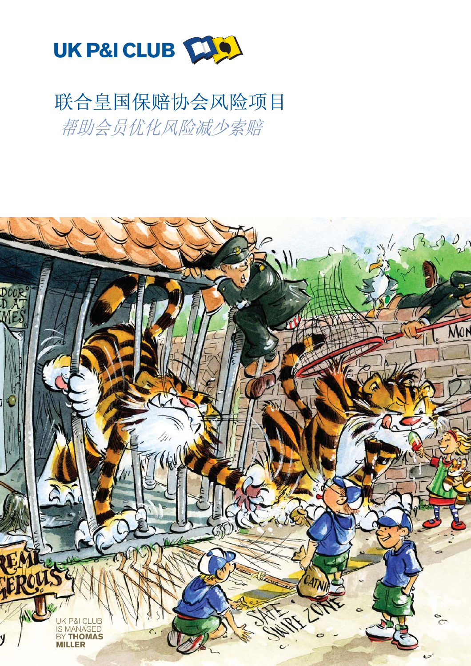

# 联合皇国保赔协会风险项目 帮助会员优化风险减少索赔

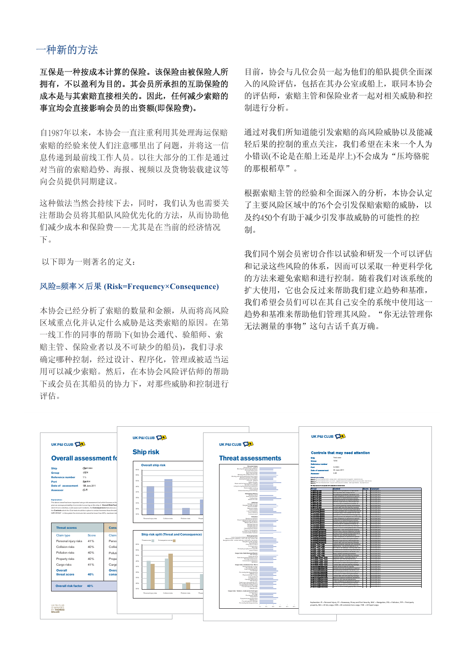## 一种新的方法

互保是一种按成本计算的保险。该保险由被保险人所 拥有, 不以盈利为目的。其会员所承担的互助保险的 成本是与其索赔直接相关的。因此, 任何减少索赔的 事宜均会直接影响会员的出资额(即保险费)。

自1987年以来,本协会一直注重利用其处理海运保赔 索赔的经验来使人们注意哪里出了问题,并将这一信 息传递到最前线工作人员。以往大部分的工作是通过 对当前的索赔趋势、海报、视频以及货物装载建议等 向会员提供同期建议。

这种做法当然会持续下去,同时,我们认为也需要关 注帮助会员将其船队风险优先化的方法, 从而协助他 们减少成本和保险费——尤其是在当前的经济情况  $\overline{B}_\infty$ 

以下即为一则著名的定义:

### 风险=频率×后果 (Risk=Frequency×Consequence)

本协会已经分析了索赔的数量和金额,从而将高风险 区域重点化并认定什么威胁是这类索赔的原因。在第 一线工作的同事的帮助下(如协会通代、验船师、索 赔主管、保险业者以及不可缺少的船员), 我们寻求 确定哪种控制, 经过设计、程序化, 管理或被适当运 用可以减少索赔。然后, 在本协会风险评估师的帮助 下或会员在其船员的协力下, 对那些威胁和控制进行 评估。

目前, 协会与几位会员一起为他们的船队提供全面深 入的凤险评估, 包括在其办公室或船上, 联同本协会 的评估师, 索赔主管和保险业者一起对相关威胁和控 制进行分析。

通过对我们所知道能引发索赔的高风险威胁以及能减 轻后果的控制的重点关注, 我们希望在未来一个人为 小错误(不论是在船上还是岸上)不会成为"压垮骆驼 的那根稻草"。

根据索赔主管的经验和全面深入的分析, 本协会认定 了主要风险区域中的76个会引发保赔索赔的威胁,以 及约450个有助于减少引发事故威胁的可能性的控 制。

我们同个别会员密切合作以试验和研发一个可以评估 和记录这些风险的体系, 因而可以采取一种更科学化 的方法来避免索赔和进行控制。随着我们对该系统的 扩大使用, 它也会反过来帮助我们建立趋势和基准, 我们希望会员们可以在其自己安全的系统中使用这一 趋势和基准来帮助他们管理其风险。"你无法管理你 无法测量的事物"这句古话千真万确。

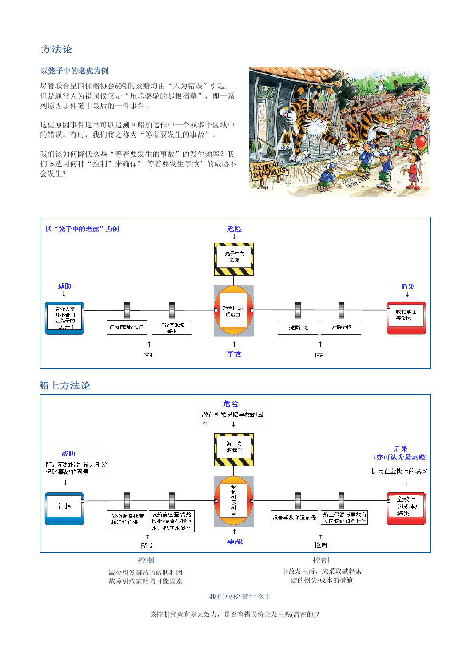## 方法论

#### 以笼子中的老虎为例<br> ᮍ⊩䆎 以笼子中的老虎<mark>为例</mark>

ンスコーロンコルフト、<br>尽管联合皇国保赔协会60%的索赔均由"人为错误"引起, 但是通常人为错误仅仅是"压垮骆驼的那根稻草",即一系 列原因事件链中最后的一件事件。 尽官联合<br>仰‼遥≞ 尽答畔今卓围4 ҹㄐᄤЁⱘ㗕㰢Ў՟ ҹㄐᄤЁⱘ㗕㰢Ў՟ ҹㄐᄤЁⱘ㗕㰢Ў՟ ҹㄐᄤЁⱘ㗕㰢Ў՟ ҹㄐᄤЁⱘ㗕㰢Ў՟ ҹㄐᄤЁⱘ㗕㰢Ў՟ 尽管联合皇国保赔协会60% ペ自弘日主圖休知份去60

这些原因事件通常可以追溯回船舶运作中一个或多个区域<mark>中</mark> 这三床凶事且魂吊勺以追溯出加加起下于。」致乡于区<br>的错误。有时,我们将之称为"等着要发生的事故"。

我们该如何降低这些"等着要发生的事故"的发生频率? 我 们该选用何种"控制"来确保"等着要发生事故"的威胁不 会发生?





船上方法论 船上方法论 船上方法论<br>———————



我们应检查什么?

该控制究竟有多大效力, 是否有错误将会发生呢(潜在的)?